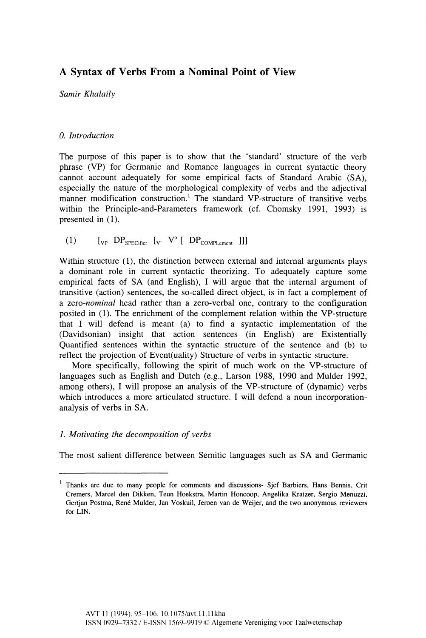# **A Syntax of Verbs From a Nominal Point of View**

*Samir Khalaily* 

# *0. Introduction*

The purpose of this paper is to show that the 'standard' structure of the verb phrase (VP) for Germanic and Romance languages in current syntactic theory cannot account adequately for some empirical facts of Standard Arabic (SA), especially the nature of the morphological complexity of verbs and the adjectival manner modification construction.<sup>1</sup> The standard VP-structure of transitive verbs within the Principle-and-Parameters framework (cf. Chomsky 1991, 1993) is presented in (1).

(1)  $\left[\begin{matrix} \n\end{matrix}\right]$   $\left[\begin{matrix} \n\end{matrix}\right]$   $\left[\begin{matrix} P^{\text{c}} & P^{\text{c}} \n\end{matrix}\right]$   $\left[\begin{matrix} \n\end{matrix}\right]$   $\left[\begin{matrix} P^{\text{c}} & P^{\text{c}} \n\end{matrix}\right]$ 

Within structure (1), the distinction between external and internal arguments plays a dominant role in current syntactic theorizing. To adequately capture some empirical facts of SA (and English), I will argue that the internal argument of transitive (action) sentences, the so-called direct object, is in fact a complement of a *zero-nominal* head rather than a zero-verbal one, contrary to the configuration posited in (1). The enrichment of the complement relation within the VP-structure that I will defend is meant (a) to find a syntactic implementation of the (Davidsonian) insight that action sentences (in English) are Existentially Quantified sentences within the syntactic structure of the sentence and (b) to reflect the projection of Event(uality) Structure of verbs in syntactic structure.

More specifically, following the spirit of much work on the VP-structure of languages such as English and Dutch (e.g., Larson 1988, 1990 and Mulder 1992, among others), I will propose an analysis of the VP-structure of (dynamic) verbs which introduces a more articulated structure. I will defend a noun incorporationanalysis of verbs in SA.

# *1. Motivating the decomposition of verbs*

The most salient difference between Semitic languages such as SA and Germanic

**Thanks are due to many people for comments and discussions- Sjef Barbiers, Hans Bennis, Crit Cremers, Marcel den Dikken, Teun Hoekstra, Martin Honcoop, Angelika Kratzer, Sergio Menuzzi, Gertjan Postma, René Mulder, Jan Voskuil, Jeroen van de Weijer, and the two anonymous reviewers for LIN.**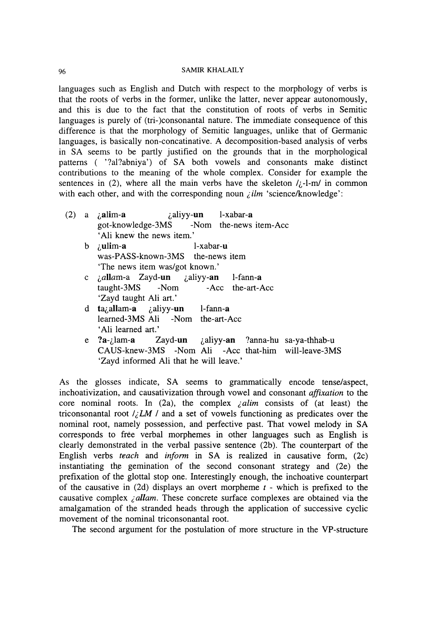languages such as English and Dutch with respect to the morphology of verbs is that the roots of verbs in the former, unlike the latter, never appear autonomously, and this is due to the fact that the constitution of roots of verbs in Semitic languages is purely of (tri-)consonantal nature. The immediate consequence of this difference is that the morphology of Semitic languages, unlike that of Germanic languages, is basically non-concatinative. A decomposition-based analysis of verbs in SA seems to be partly justified on the grounds that in the morphological patterns ( '?al?abniya') of SA both vowels and consonants make distinct contributions to the meaning of the whole complex. Consider for example the sentences in (2), where all the main verbs have the skeleton  $/2$ -1-m $/$  in common with each other, and with the corresponding noun *; ilm* 'science/knowledge':

- (2) a  $i$ alim-a  $i$ aliyy-un l-xabar-a got-knowledge-3MS -Nom the-news item-Acc 'Ali knew the news item.'
	- b ?ulim-a 1-xabar-u was-PASS-known-3MS the-news item 'The news item was/got known.'
	- c  $i$ allam-a Zayd-un  $i$ aliyy-an 1-fann-a taught-3MS -Nom -Acc the-art-Acc 'Zayd taught Ali art.'
	- d ta<sub>i</sub> allam-a *i* aliyy-un 1-fann-a<br>learned-3MS Ali -Nom the-art-*l* -Nom the-art-Acc 'Ali learned art.'
	- e  $2a-\lambda$ lam-a Zayd-un  $\lambda$ aliyy-an ?anna-hu sa-ya-thhab-u CAUS-knew-3MS -Nom Ali -Acc that-him will-leave-3MS 'Zayd informed Ali that he will leave.'

As the glosses indicate, SA seems to grammatically encode tense/aspect, inchoativization, and causativization through vowel and consonant *affixation* to the core nominal roots. In  $(2a)$ , the complex *<i>alim* consists of (at least) the triconsonantal root  $\ell$ *i* $LM$  / and a set of vowels functioning as predicates over the nominal root, namely possession, and perfective past. That vowel melody in SA corresponds to free verbal morphemes in other languages such as English is clearly demonstrated in the verbal passive sentence (2b). The counterpart of the English verbs *teach* and *inform* in SA is realized in causative form, (2c) instantiating the gemination of the second consonant strategy and (2e) the prefixation of the glottal stop one. Interestingly enough, the inchoative counterpart of the causative in (2d) displays an overt morpheme *t* - which is prefixed to the causative complex *¿allam*. These concrete surface complexes are obtained via the amalgamation of the stranded heads through the application of successive cyclic movement of the nominal triconsonantal root.

The second argument for the postulation of more structure in the VP-structure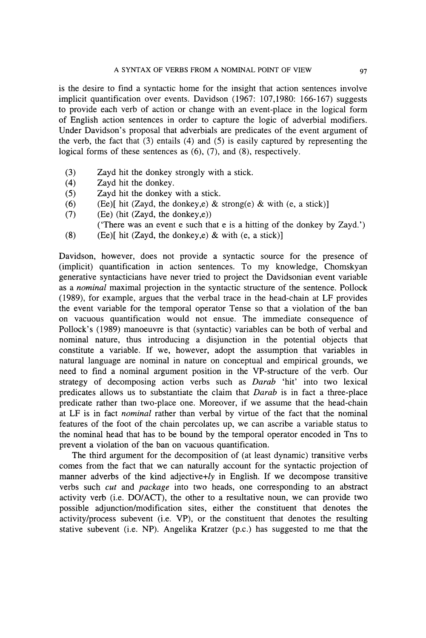is the desire to find a syntactic home for the insight that action sentences involve implicit quantification over events. Davidson (1967: 107,1980: 166-167) suggests to provide each verb of action or change with an event-place in the logical form of English action sentences in order to capture the logic of adverbial modifiers. Under Davidson's proposal that adverbials are predicates of the event argument of the verb, the fact that  $(3)$  entails  $(4)$  and  $(5)$  is easily captured by representing the logical forms of these sentences as (6), (7), and (8), respectively.

- (3) Zayd hit the donkey strongly with a stick.
- (4) Zayd hit the donkey.
- (5) Zayd hit the donkey with a stick.
- (6) (Ee)[ hit (Zayd, the donkey,e)  $\&$  strong(e)  $\&$  with (e, a stick)]
- (7) (Ee) (hit (Zayd, the donkey,e))
- ('There was an event e such that e is a hitting of the donkey by Zayd.')
- (8) (Ee)[ hit (Zayd, the donkey,e)  $\&$  with (e, a stick)]

Davidson, however, does not provide a syntactic source for the presence of (implicit) quantification in action sentences. To my knowledge, Chomskyan generative syntacticians have never tried to project the Davidsonian event variable as a *nominal* maximal projection in the syntactic structure of the sentence. Pollock (1989), for example, argues that the verbal trace in the head-chain at LF provides the event variable for the temporal operator Tense so that a violation of the ban on vacuous quantification would not ensue. The immediate consequence of Pollock's (1989) manoeuvre is that (syntactic) variables can be both of verbal and nominal nature, thus introducing a disjunction in the potential objects that constitute a variable. If we, however, adopt the assumption that variables in natural language are nominal in nature on conceptual and empirical grounds, we need to find a nominal argument position in the VP-structure of the verb. Our strategy of decomposing action verbs such as *Darab* 'hit' into two lexical predicates allows us to substantiate the claim that *Darab* is in fact a three-place predicate rather than two-place one. Moreover, if we assume that the head-chain at LF is in fact *nominal* rather than verbal by virtue of the fact that the nominal features of the foot of the chain percolates up, we can ascribe a variable status to the nominal head that has to be bound by the temporal operator encoded in Tns to prevent a violation of the ban on vacuous quantification.

The third argument for the decomposition of (at least dynamic) transitive verbs comes from the fact that we can naturally account for the syntactic projection of manner adverbs of the kind adjective+*ly* in English. If we decompose transitive verbs such *cut* and *package* into two heads, one corresponding to an abstract activity verb (i.e. DO/ACT), the other to a resultative noun, we can provide two possible adjunction/modification sites, either the constituent that denotes the activity/process subevent (i.e. VP), or the constituent that denotes the resulting stative subevent (i.e. NP). Angelika Kratzer (p.c.) has suggested to me that the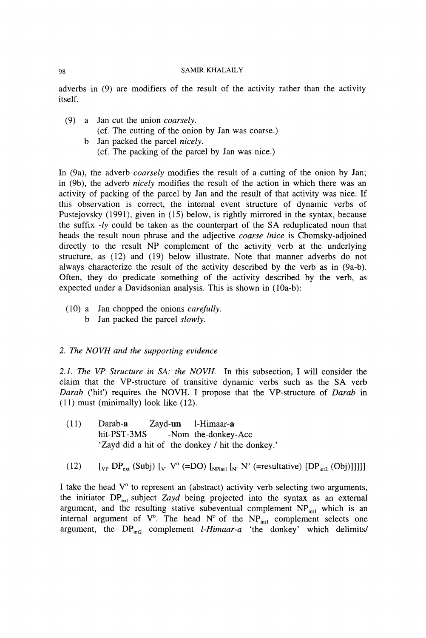adverbs in (9) are modifiers of the result of the activity rather than the activity itself.

- (9) a Jan cut the union *coarsely.* 
	- (cf. The cutting of the onion by Jan was coarse.)
	- b Jan packed the parcel *nicely.*  (cf. The packing of the parcel by Jan was nice.)

In (9a), the adverb *coarsely* modifies the result of a cutting of the onion by Jan; in (9b), the adverb *nicely* modifies the result of the action in which there was an activity of packing of the parcel by Jan and the result of that activity was nice. If this observation is correct, the internal event structure of dynamic verbs of Pustejovsky (1991), given in (15) below, is rightly mirrored in the syntax, because the suffix *-ly* could be taken as the counterpart of the SA reduplicated noun that heads the result noun phrase and the adjective *coarse /nice* is Chomsky-adjoined directly to the result NP complement of the activity verb at the underlying structure, as (12) and (19) below illustrate. Note that manner adverbs do not always characterize the result of the activity described by the verb as in (9a-b). Often, they do predicate something of the activity described by the verb, as expected under a Davidsonian analysis. This is shown in (10a-b):

(10) a Jan chopped the onions *carefully.*  b Jan packed the parcel *slowly.* 

## 2. *The NOVH and the supporting evidence*

*2.1. The VP Structure in SA: the NOVH.* In this subsection, I will consider the claim that the VP-structure of transitive dynamic verbs such as the SA verb *Darab* ('hit') requires the NOVH. I propose that the VP-structure of *Darab* in (11) must (minimally) look like (12).

- (11) Darab-**a** Zayd-**un** 1-Himaar-a hit-PST-3MS -Nom the-donkey-Acc 'Zayd did a hit of the donkey / hit the donkey.'
- (12)  $\left[\begin{array}{cc} V_P \text{DP}_{ext} \text{ (Subj) } & V^{\circ} \text{ (=DO)} \end{array}\right]_{N\text{Pintl}} N^{\circ}$  (= resultative)  $\left[\text{DP}_{int2} \text{ (O) and } V^{\circ} \text{ (in the image)}\right]_{N\text{Pintl}}$

I take the head V° to represent an (abstract) activity verb selecting two arguments, the initiator DP<sub>ext</sub> subject Zayd being projected into the syntax as an external argument, and the resulting stative subeventual complement  $NP<sub>int</sub>$  which is an internal argument of  $V^{\circ}$ . The head  $N^{\circ}$  of the  $NP_{int}$  complement selects one argument, the DP<sub>int2</sub> complement *l-Himaar-a* 'the donkey' which delimits/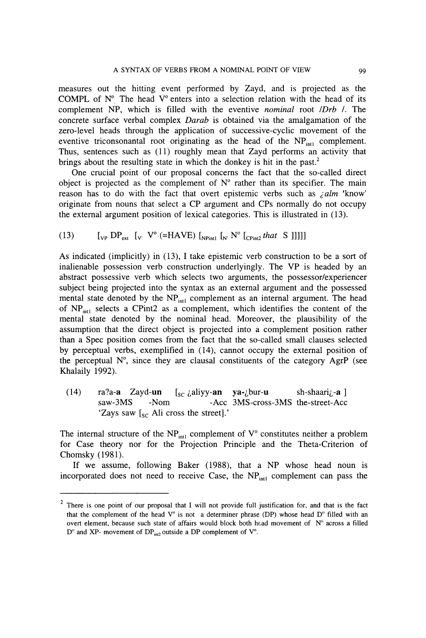measures out the hitting event performed by Zayd, and is projected as the COMPL of  $N^{\circ}$  The head  $V^{\circ}$  enters into a selection relation with the head of its complement NP, which is filled with the eventive *nominal* root /*Drb* /*.* The concrete surface verbal complex *Darab* is obtained via the amalgamation of the zero-level heads through the application of successive-cyclic movement of the eventive triconsonantal root originating as the head of the  $NP<sub>int</sub>$  complement. Thus, sentences such as (11) roughly mean that Zayd performs an activity that brings about the resulting state in which the donkey is hit in the past.<sup>2</sup>

One crucial point of our proposal concerns the fact that the so-called direct object is projected as the complement of  $N^{\circ}$  rather than its specifier. The main reason has to do with the fact that overt epistemic verbs such as ?*alm* 'know' originate from nouns that select a CP argument and CPs normally do not occupy the external argument position of lexical categories. This is illustrated in (13).

(13) 
$$
[{}_{VP}DP_{ext} [V^{\circ}(-HAVE) [{}_{NPint1} [{}_{N}N^{\circ} [{}_{CPint2} that S]]]]]
$$

As indicated (implicitly) in (13), I take epistemic verb construction to be a sort of inalienable possession verb construction underlyingly. The VP is headed by an abstract possessive verb which selects two arguments, the possessor/experiencer subject being projected into the syntax as an external argument and the possessed mental state denoted by the  $NP<sub>int</sub>$  complement as an internal argument. The head of  $NP<sub>int</sub>$  selects a CPint2 as a complement, which identifies the content of the mental state denoted by the nominal head. Moreover, the plausibility of the assumption that the direct object is projected into a complement position rather than a Spec position comes from the fact that the so-called small clauses selected by perceptual verbs, exemplified in (14), cannot occupy the external position of the perceptual N°, since they are clausal constituents of the category AgrP (see Khalaily 1992).

(14)  $ra?a-a$  Zayd-**un**  $\left[\int_{SC} \right]$  *i* aliyy-an  $ya-\iota$  bur-**u** sh-shaari $\iota$ -a ] saw-3MS -Nom -Acc 3MS-cross-3MS the-street-Acc 'Zays saw [sc Ali cross the street].'

The internal structure of the  $NP<sub>int</sub>$  complement of  $V<sup>o</sup>$  constitutes neither a problem for Case theory nor for the Projection Principle and the Theta-Criterion of Chomsky (1981).

If we assume, following Baker (1988), that a NP whose head noun is incorporated does not need to receive Case, the  $NP<sub>int</sub>$  complement can pass the

 $2$  There is one point of our proposal that I will not provide full justification for, and that is the fact that the complement of the head  $V^{\circ}$  is not a determiner phrase (DP) whose head  $D^{\circ}$  filled with an overt element, because such state of affairs would block both head movement of  $N^{\circ}$  across a filled  $D^{\circ}$  and XP- movement of  $DP_{\text{int2}}$  outside a DP complement of  $V^{\circ}$ .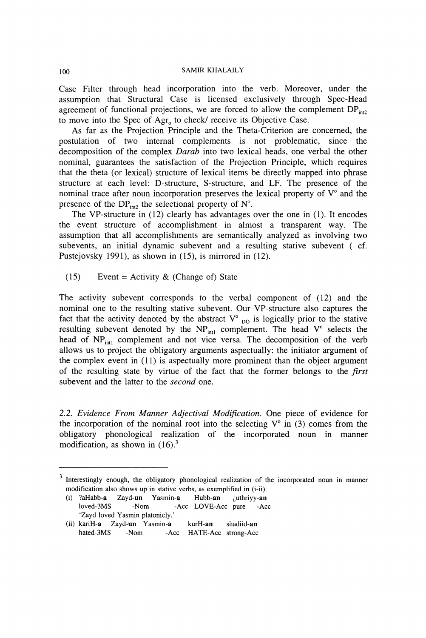Case Filter through head incorporation into the verb. Moreover, under the assumption that Structural Case is licensed exclusively through Spec-Head agreement of functional projections, we are forced to allow the complement  $DP<sub>int2</sub>$ to move into the Spec of  $Agr_0$  to check/ receive its Objective Case.

As far as the Projection Principle and the Theta-Criterion are concerned, the postulation of two internal complements is not problematic, since the decomposition of the complex *Darab* into two lexical heads, one verbal the other nominal, guarantees the satisfaction of the Projection Principle, which requires that the theta (or lexical) structure of lexical items be directly mapped into phrase structure at each level: D-structure, S-structure, and LF. The presence of the nominal trace after noun incorporation preserves the lexical property of  $V^{\circ}$  and the presence of the  $DP_{int2}$  the selectional property of  $N^{\circ}$ .

The VP-structure in (12) clearly has advantages over the one in (1). It encodes the event structure of accomplishment in almost a transparent way. The assumption that all accomplishments are semantically analyzed as involving two subevents, an initial dynamic subevent and a resulting stative subevent ( cf. Pustejovsky 1991), as shown in (15), is mirrored in (12).

(15) Event = Activity  $\&$  (Change of) State

The activity subevent corresponds to the verbal component of (12) and the nominal one to the resulting stative subevent. Our VP-structure also captures the fact that the activity denoted by the abstract  $V^{\circ}$  <sub>DO</sub> is logically prior to the stative resulting subevent denoted by the  $NP<sub>int</sub>$  complement. The head  $V<sup>o</sup>$  selects the head of NP<sub>intl</sub> complement and not vice versa. The decomposition of the verb allows us to project the obligatory arguments aspectually: the initiator argument of the complex event in (11) is aspectually more prominent than the object argument of the resulting state by virtue of the fact that the former belongs to the *first*  subevent and the latter to the *second* one.

*2.2. Evidence From Manner Adjectival Modification.* One piece of evidence for the incorporation of the nominal root into the selecting  $V^{\circ}$  in (3) comes from the obligatory phonological realization of the incorporated noun in manner modification, as shown in  $(16)^3$ 

Interestingly enough, the obligatory phonological realization of the incorporated noun in manner modification also shows up in stative verbs, as exemplified in (i-ii).

<sup>(</sup>i) ?aHabb-a Zayd-un Yasmin-a Hubb-an *i*uthriyy-an loved-3MS -Nom -Acc LOVE-Acc pure -Acc 'Zayd loved Yasmin platonicly.'

<sup>(</sup>ii) kariH-a Zayd-un Yasmin-a kurH-an shadiid-an hated-3MS -Nom -Acc HATE-Acc strong-Acc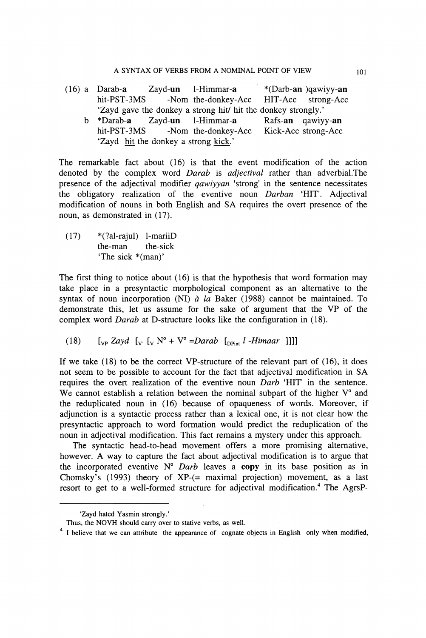|                                      |  | $(16)$ a Darab-a Zayd-un l-Himmar-a                           |  | *(Darb- <b>an</b> )qawiyy- <b>an</b> |  |
|--------------------------------------|--|---------------------------------------------------------------|--|--------------------------------------|--|
| hit-PST-3MS                          |  | -Nom the-donkey-Acc HIT-Acc strong-Acc                        |  |                                      |  |
|                                      |  | 'Zayd gave the donkey a strong hit/ hit the donkey strongly.' |  |                                      |  |
|                                      |  | b *Darab- <b>a</b> Zavd-un l-Himmar-a                         |  | Rafs-an qawiyy-an                    |  |
|                                      |  | hit-PST-3MS -Nom the-donkey-Acc Kick-Acc strong-Acc           |  |                                      |  |
| 'Zayd hit the donkey a strong kick.' |  |                                                               |  |                                      |  |

The remarkable fact about (16) is that the event modification of the action denoted by the complex word *Darab* is *adjectival* rather than adverbial.The presence of the adjectival modifier *qawiyyan* 'strong' in the sentence necessitates the obligatory realization of the eventive noun *Darban* 'HIT'. Adjectival modification of nouns in both English and SA requires the overt presence of the noun, as demonstrated in (17).

(17) \*(?al-rajul) 1-mariiD the-man the-sick 'The sick \*(man)'

The first thing to notice about (16) is that the hypothesis that word formation may take place in a presyntactic morphological component as an alternative to the syntax of noun incorporation (NI) *à la* Baker (1988) cannot be maintained. To demonstrate this, let us assume for the sake of argument that the VP of the complex word *Darab* at D-structure looks like the configuration in (18).

 $(18)$   $[v_P Zayd] [v_V] [v_N^{\circ} + V^{\circ} = Darab$   $[v_P]$ <sub>DPint</sub> *l* -*Himaar* ]]]]

If we take  $(18)$  to be the correct VP-structure of the relevant part of  $(16)$ , it does not seem to be possible to account for the fact that adjectival modification in SA requires the overt realization of the eventive noun *Darb* 'HIT' in the sentence. We cannot establish a relation between the nominal subpart of the higher  $V^{\circ}$  and the reduplicated noun in (16) because of opaqueness of words. Moreover, if adjunction is a syntactic process rather than a lexical one, it is not clear how the presyntactic approach to word formation would predict the reduplication of the noun in adjectival modification. This fact remains a mystery under this approach.

The syntactic head-to-head movement offers a more promising alternative, however. A way to capture the fact about adjectival modification is to argue that the incorporated eventive N° *Darb* leaves a **copy** in its base position as in Chomsky's (1993) theory of XP-(= maximal projection) movement, as a last resort to get to a well-formed structure for adjectival modification.<sup>4</sup> The AgrsP-

**<sup>&#</sup>x27;Zayd hated Yasmin strongly.'** 

**Thus, the NOVH should carry over to stative verbs, as well.** 

<sup>&</sup>lt;sup>4</sup> I believe that we can attribute the appearance of cognate objects in English only when modified,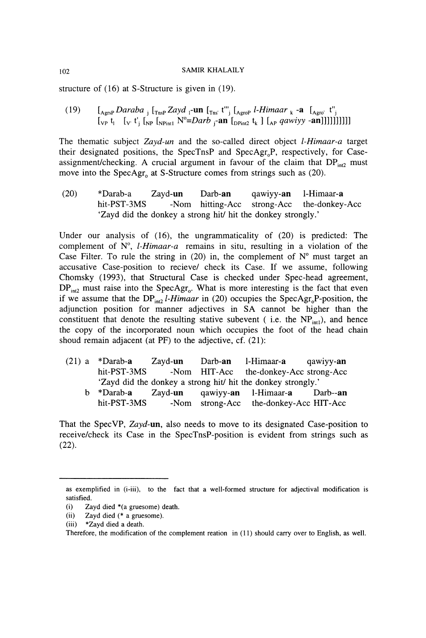structure of (16) at S-Structure is given in (19).

(19)  $\left[\begin{matrix} \n\sqrt{P} & \n\end{matrix}\right]$   $\left[\begin{matrix} V' & \n\end{matrix}\right]$   $\left[\begin{matrix} \n\sqrt{P} & \n\end{matrix}\right]$   $\left[\begin{matrix} N^0 = Dark & \n\end{matrix}\right]$   $\left[\begin{matrix} \frac{1}{N} & \n\end{matrix}\right]$   $\left[\begin{matrix} \frac{1}{N} & \n\end{matrix}\right]$   $\left[\begin{matrix} \frac{1}{N} & \n\end{matrix}\right]$   $\left[\begin{matrix} \frac{1}{N} & \n\end{matrix}\right]$   $\left[\begin{matrix} V' & \$ 

The thematic subject *Zayd-un* and the so-called direct object *l-Himaar-a* target their designated positions, the SpecTnsP and SpecAgr<sub>a</sub>P, respectively, for Caseassignment/checking. A crucial argument in favour of the claim that  $DP_{in2}$  must move into the  $SpecAgr_0$  at S-Structure comes from strings such as (20).

N*°=Darb* <sup>j</sup>-**an** [DPint2 tk ] [AP *qawiyy* -**an**]]]]]]]]]]

(20) \*Darab-a Zayd-un Darb-an qawiyy-an l-Himaar-a hit-PST-3MS -Nom hitting-Acc strong-Acc the-donkey-Acc 'Zayd did the donkey a strong hit/ hit the donkey strongly.'

Under our analysis of (16), the ungrammaticality of (20) is predicted: The complement of N°, *l-Himaar-a* remains in situ, resulting in a violation of the Case Filter. To rule the string in (20) in, the complement of  $N^{\circ}$  must target an accusative Case-position to recieve/ check its Case. If we assume, following Chomsky (1993), that Structural Case is checked under Spec-head agreement,  $DP<sub>int2</sub>$  must raise into the SpecAgr<sub>o</sub>. What is more interesting is the fact that even if we assume that the  $DP<sub>int2</sub>$ *l-Himaar* in (20) occupies the SpecAgr<sub>o</sub>P-position, the adjunction position for manner adjectives in SA cannot be higher than the constituent that denote the resulting stative subevent (i.e. the  $NP_{int}$ ), and hence the copy of the incorporated noun which occupies the foot of the head chain shoud remain adjacent (at PF) to the adjective, cf. (21):

(21) a \*Darab-a Zayd-un Darb-an l-Himaar-a qawiyy-an hit-PST-3MS -Nom HIT-Acc the-donkey-Acc strong-Acc 'Zayd did the donkey a strong hit/ hit the donkey strongly.' b \*Darab-a Zayd-un qawiyy-an l-Himaar-a Darb~an hit-PST-3MS -Nom strong-Acc the-donkey-Acc HIT-Acc

That the SpecVP, *Zayd-un,* also needs to move to its designated Case-position to receive/check its Case in the SpecTnsP-position is evident from strings such as (22).

as exemplified in (i-iii), to the fact that a well-formed structure for adjectival modification is satisfied.

<sup>(</sup>i) Zayd died \*(a gruesome) death.

<sup>(</sup>ii) Zayd died (\* a gruesome).

<sup>(</sup>iii) \*Zayd died a death.

Therefore, the modification of the complement reation in (11) should carry over to English, as well.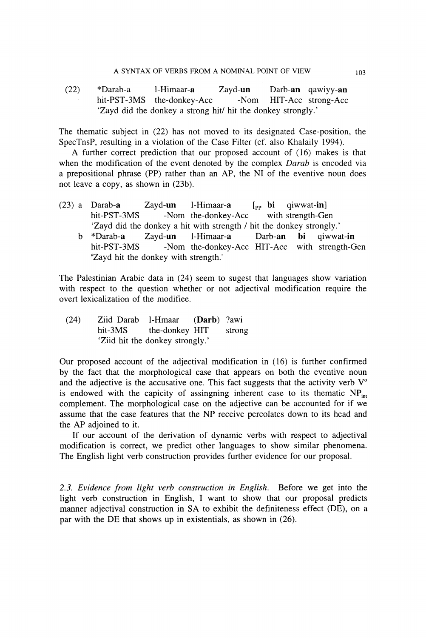(22) \*Darab-a 1-Himaar-**a** Zayd-**un** Darb-an qawiyy-an HIT-Acc strong-Acc 'Zayd did the donkey a strong hit/ hit the donkey strongly.'

The thematic subject in (22) has not moved to its designated Case-position, the SpecTnsP, resulting in a violation of the Case Filter (cf. also Khalaily 1994).

A further correct prediction that our proposed account of (16) makes is that when the modification of the event denoted by the complex *Darab* is encoded via a prepositional phrase (PP) rather than an AP, the NI of the eventive noun does not leave a copy, as shown in (23b).

- (23) a Darab-**a** Zayd-**un** 1-Himaar-**a** [<sub>PP</sub> bi qiwwat-in] hit-PST-3MS -Nom the-donkey-Acc with strength-Gen 'Zayd did the donkey a hit with strength / hit the donkey strongly.' b \*Darab-a Zayd-un 1-Himaar-a Darb-an bi qiwwat-in
	- hit-PST-3MS -Nom the-donkey-Acc HIT-Acc with strength-Gen 'Zayd hit the donkey with strength.'

The Palestinian Arabic data in (24) seem to sugest that languages show variation with respect to the question whether or not adjectival modification require the overt lexicalization of the modifiee.

(24) Ziid Darab 1-Hmaar **(Darb)** ?awi hit-3MS the-donkey HIT strong 'Ziid hit the donkey strongly.'

Our proposed account of the adjectival modification in (16) is further confirmed by the fact that the morphological case that appears on both the eventive noun and the adjective is the accusative one. This fact suggests that the activity verb  $V^{\circ}$ is endowed with the capicity of assingning inherent case to its thematic  $NP_{int}$ complement. The morphological case on the adjective can be accounted for if we assume that the case features that the NP receive percolates down to its head and the AP adjoined to it.

If our account of the derivation of dynamic verbs with respect to adjectival modification is correct, we predict other languages to show similar phenomena. The English light verb construction provides further evidence for our proposal.

*2.3. Evidence from light verb construction in English.* Before we get into the light verb construction in English, I want to show that our proposal predicts manner adjectival construction in SA to exhibit the definiteness effect (DE), on a par with the DE that shows up in existentials, as shown in (26).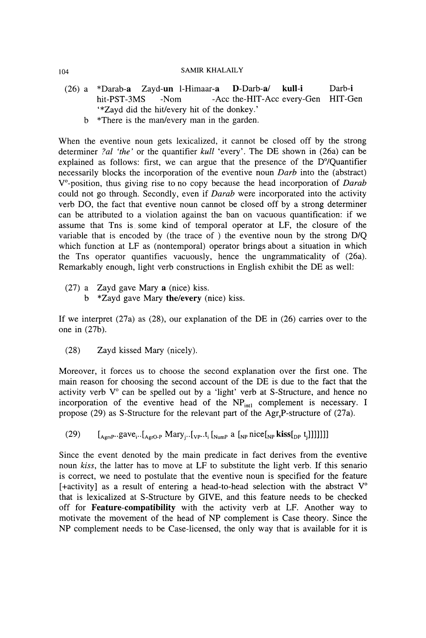- (26) a \*Darab-**a** Zayd-**un** 1-Himaar-**a D**-Darb-**a**/ **kull-i** Darb-**i**  hit-PST-3MS -Nom -Acc the-HIT-Acc every-Gen HIT-Gen '\*Zayd did the hit/every hit of the donkey.'
	- b \*There is the man/every man in the garden.

When the eventive noun gets lexicalized, it cannot be closed off by the strong determiner *?al 'the'* or the quantifier *kull* 'every'. The DE shown in (26a) can be explained as follows: first, we can argue that the presence of the  $D<sup>o</sup>/Quantifier$ necessarily blocks the incorporation of the eventive noun *Darb* into the (abstract) V°-position, thus giving rise to no copy because the head incorporation of *Darab*  could not go through. Secondly, even if *Darab* were incorporated into the activity verb DO, the fact that eventive noun cannot be closed off by a strong determiner can be attributed to a violation against the ban on vacuous quantification: if we assume that Tns is, some kind of temporal operator at LF, the closure of the variable that is encoded by (the trace of ) the eventive noun by the strong D/Q which function at LF as (nontemporal) operator brings about a situation in which the Tns operator quantifies vacuously, hence the ungrammaticality of (26a). Remarkably enough, light verb constructions in English exhibit the DE as well:

- (27) a Zayd gave Mary a (nice) kiss.
	- b \*Zayd gave Mary **the/every** (nice) kiss.

..[AgrO-P Mary<sup>j</sup>

If we interpret (27a) as (28), our explanation of the DE in (26) carries over to the one in (27b).

(28) Zayd kissed Mary (nicely).

[AgrsP..gave<sup>i</sup>

Moreover, it forces us to choose the second explanation over the first one. The main reason for choosing the second account of the DE is due to the fact that the activity verb V° can be spelled out by a 'light' verb at S-Structure, and hence no incorporation of the eventive head of the  $NP<sub>int</sub>$  complement is necessary. I propose (29) as S-Structure for the relevant part of the Agr<sub>s</sub>P-structure of (27a).

(29)  $\left[\begin{matrix}I_{\text{AgrsP}}\cdot\text{gave}_{i}\cdot\begin{matrix}I_{\text{AgrO-P}}\end{matrix} Mary_{i}\cdot\begin{matrix}I_{\text{VP}}\cdot t_{i}\end{matrix} [N_{\text{ump}}\text{ a } \left[\begin{matrix}N_{\text{PP}}\text{nice}\end{matrix} [N_{\text{PP}}\text{kiss}\end{matrix} [N_{\text{DP}}\text{t}_{i}]\end{matrix}\right]\right]\right]$ 

Since the event denoted by the main predicate in fact derives from the eventive noun *kiss,* the latter has to move at LF to substitute the light verb. If this senario is correct, we need to postulate that the eventive noun is specified for the feature [+activity] as a result of entering a head-to-head selection with the abstract  $V^{\circ}$ that is lexicalized at S-Structure by GIVE, and this feature needs to be checked off for **Feature-compatibility** with the activity verb at LF. Another way to motivate the movement of the head of NP complement is Case theory. Since the NP complement needs to be Case-licensed, the only way that is available for it is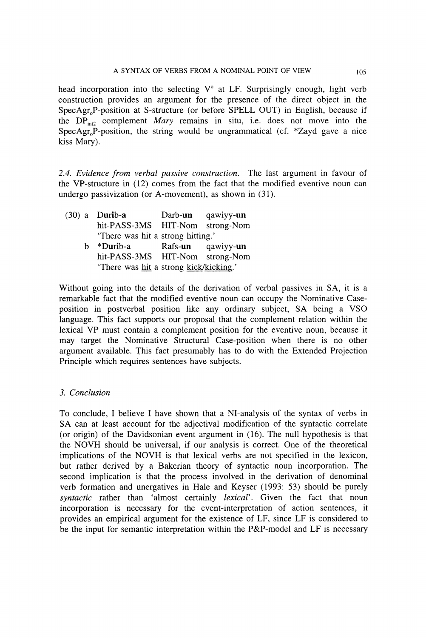head incorporation into the selecting V° at LF. Surprisingly enough, light verb construction provides an argument for the presence of the direct object in the SpecAgr<sub>o</sub>P-position at S-structure (or before SPELL OUT) in English, because if the DP<sub>int2</sub> complement *Mary* remains in situ, i.e. does not move into the SpecAgr<sub>a</sub>P-position, the string would be ungrammatical (cf.  $*Z$ ayd gave a nice kiss Mary).

*2.4. Evidence from verbal passive construction.* The last argument in favour of the VP-structure in (12) comes from the fact that the modified eventive noun can undergo passivization (or A-movement), as shown in (31).

|   | $(30)$ a Durib-a                       | Darb-un qawiyy-un |  |
|---|----------------------------------------|-------------------|--|
|   | hit-PASS-3MS HIT-Nom strong-Nom        |                   |  |
|   | 'There was hit a strong hitting.'      |                   |  |
| h | *Durib-a                               | Rafs-un qawiyy-un |  |
|   | hit-PASS-3MS HIT-Nom strong-Nom        |                   |  |
|   | 'There was hit a strong kick/kicking.' |                   |  |

Without going into the details of the derivation of verbal passives in SA, it is a remarkable fact that the modified eventive noun can occupy the Nominative Caseposition in postverbal position like any ordinary subject, SA being a VSO language. This fact supports our proposal that the complement relation within the lexical VP must contain a complement position for the eventive noun, because it may target the Nominative Structural Case-position when there is no other argument available. This fact presumably has to do with the Extended Projection Principle which requires sentences have subjects.

## *3. Conclusion*

To conclude, I believe I have shown that a Nl-analysis of the syntax of verbs in SA can at least account for the adjectival modification of the syntactic correlate (or origin) of the Davidsonian event argument in (16). The null hypothesis is that the NOVH should be universal, if our analysis is correct. One of the theoretical implications of the NOVH is that lexical verbs are not specified in the lexicon, but rather derived by a Bakerian theory of syntactic noun incorporation. The second implication is that the process involved in the derivation of denominal verb formation and unergatives in Hale and Keyser (1993: 53) should be purely *syntactic* rather than 'almost certainly *lexical'.* Given the fact that noun incorporation is necessary for the event-interpretation of action sentences, it provides an empirical argument for the existence of LF, since LF is considered to be the input for semantic interpretation within the P&P-model and LF is necessary